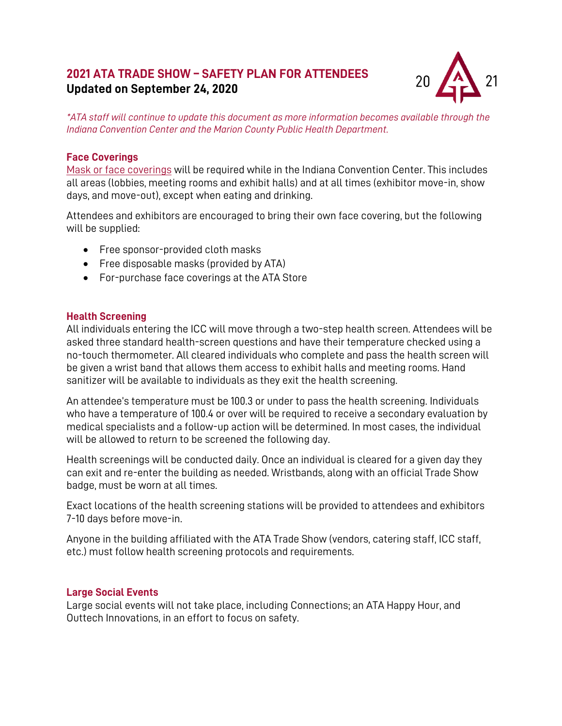# **2021 ATA TRADE SHOW – SAFETY PLAN FOR ATTENDEES Updated on September 24, 2020**



*\*ATA staff will continue to update this document as more information becomes available through the Indiana Convention Center and the Marion County Public Health Department.*

# **Face Coverings**

[Mask or face coverings](https://www.cdc.gov/coronavirus/2019-ncov/prevent-getting-sick/cloth-face-cover-guidance.html) will be required while in the Indiana Convention Center. This includes all areas (lobbies, meeting rooms and exhibit halls) and at all times (exhibitor move-in, show days, and move-out), except when eating and drinking.

Attendees and exhibitors are encouraged to bring their own face covering, but the following will be supplied:

- Free sponsor-provided cloth masks
- Free disposable masks (provided by ATA)
- For-purchase face coverings at the ATA Store

#### **Health Screening**

All individuals entering the ICC will move through a two-step health screen. Attendees will be asked three standard health-screen questions and have their temperature checked using a no-touch thermometer. All cleared individuals who complete and pass the health screen will be given a wrist band that allows them access to exhibit halls and meeting rooms. Hand sanitizer will be available to individuals as they exit the health screening.

An attendee's temperature must be 100.3 or under to pass the health screening. Individuals who have a temperature of 100.4 or over will be required to receive a secondary evaluation by medical specialists and a follow-up action will be determined. In most cases, the individual will be allowed to return to be screened the following day.

Health screenings will be conducted daily. Once an individual is cleared for a given day they can exit and re-enter the building as needed. Wristbands, along with an official Trade Show badge, must be worn at all times.

Exact locations of the health screening stations will be provided to attendees and exhibitors 7-10 days before move-in.

Anyone in the building affiliated with the ATA Trade Show (vendors, catering staff, ICC staff, etc.) must follow health screening protocols and requirements.

#### **Large Social Events**

Large social events will not take place, including Connections; an ATA Happy Hour, and Outtech Innovations, in an effort to focus on safety.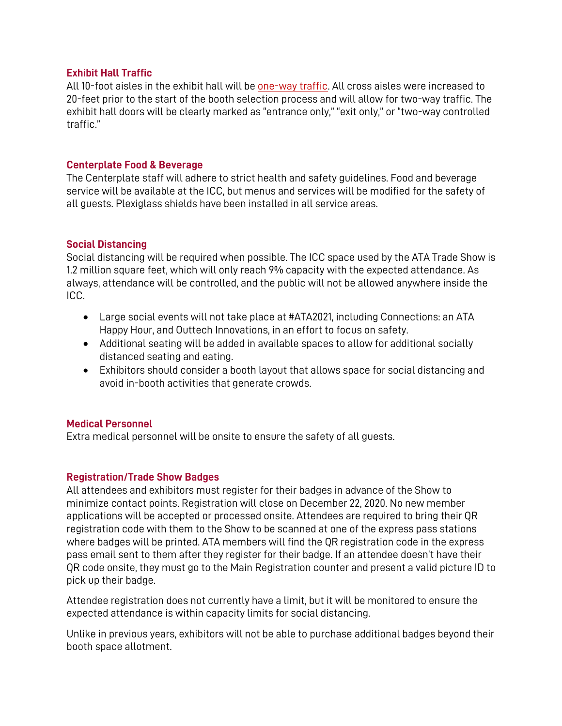#### **Exhibit Hall Traffic**

All 10-foot aisles in the exhibit hall will be [one-way](https://www.atatradeshow.org/2021/Public/EventMap.aspx?ID=663&sortMenu=104002) traffic. All cross aisles were increased to 20-feet prior to the start of the booth selection process and will allow for two-way traffic. The exhibit hall doors will be clearly marked as "entrance only," "exit only," or "two-way controlled traffic."

# **Centerplate Food & Beverage**

The Centerplate staff will adhere to strict health and safety guidelines. Food and beverage service will be available at the ICC, but menus and services will be modified for the safety of all guests. Plexiglass shields have been installed in all service areas.

# **Social Distancing**

Social distancing will be required when possible. The ICC space used by the ATA Trade Show is 1.2 million square feet, which will only reach 9% capacity with the expected attendance. As always, attendance will be controlled, and the public will not be allowed anywhere inside the ICC.

- Large social events will not take place at #ATA2021, including Connections: an ATA Happy Hour, and Outtech Innovations, in an effort to focus on safety.
- Additional seating will be added in available spaces to allow for additional socially distanced seating and eating.
- Exhibitors should consider a booth layout that allows space for social distancing and avoid in-booth activities that generate crowds.

#### **Medical Personnel**

Extra medical personnel will be onsite to ensure the safety of all guests.

# **Registration/Trade Show Badges**

All attendees and exhibitors must register for their badges in advance of the Show to minimize contact points. Registration will close on December 22, 2020. No new member applications will be accepted or processed onsite. Attendees are required to bring their QR registration code with them to the Show to be scanned at one of the express pass stations where badges will be printed. ATA members will find the QR registration code in the express pass email sent to them after they register for their badge. If an attendee doesn't have their QR code onsite, they must go to the Main Registration counter and present a valid picture ID to pick up their badge.

Attendee registration does not currently have a limit, but it will be monitored to ensure the expected attendance is within capacity limits for social distancing.

Unlike in previous years, exhibitors will not be able to purchase additional badges beyond their booth space allotment.